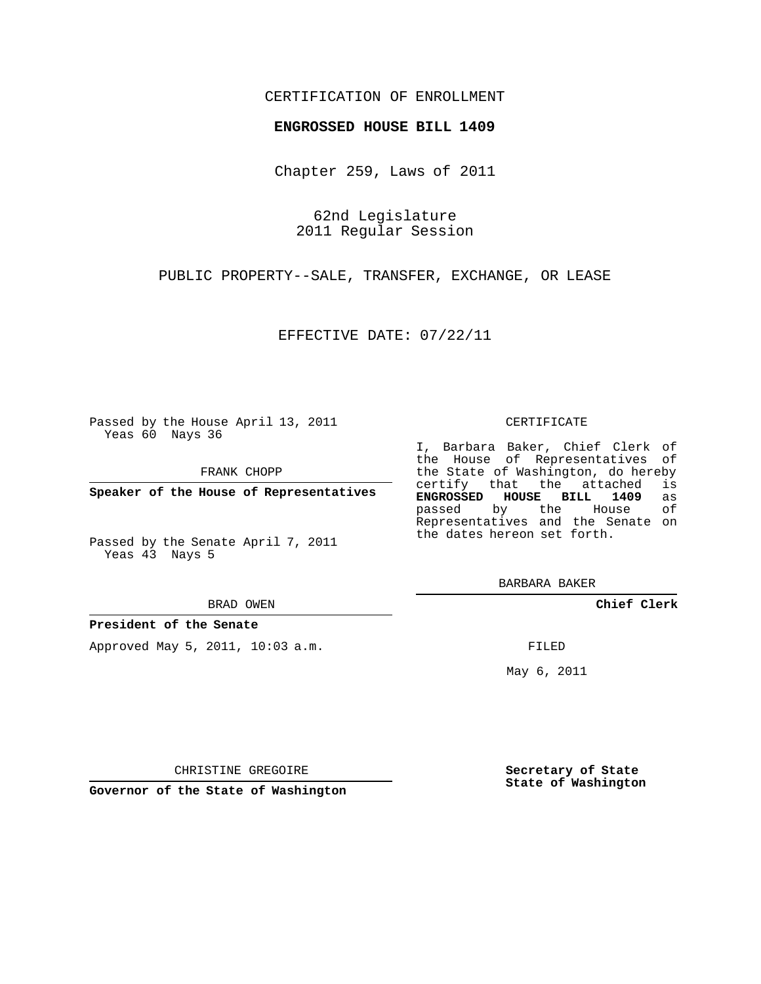## CERTIFICATION OF ENROLLMENT

### **ENGROSSED HOUSE BILL 1409**

Chapter 259, Laws of 2011

62nd Legislature 2011 Regular Session

PUBLIC PROPERTY--SALE, TRANSFER, EXCHANGE, OR LEASE

EFFECTIVE DATE: 07/22/11

Passed by the House April 13, 2011 Yeas 60 Nays 36

FRANK CHOPP

**Speaker of the House of Representatives**

Passed by the Senate April 7, 2011 Yeas 43 Nays 5

#### BRAD OWEN

### **President of the Senate**

Approved May 5, 2011, 10:03 a.m.

#### CERTIFICATE

I, Barbara Baker, Chief Clerk of the House of Representatives of the State of Washington, do hereby<br>certify that the attached is certify that the attached **ENGROSSED HOUSE BILL 1409** as passed by the House Representatives and the Senate on the dates hereon set forth.

BARBARA BAKER

**Chief Clerk**

FILED

May 6, 2011

**Secretary of State State of Washington**

CHRISTINE GREGOIRE

**Governor of the State of Washington**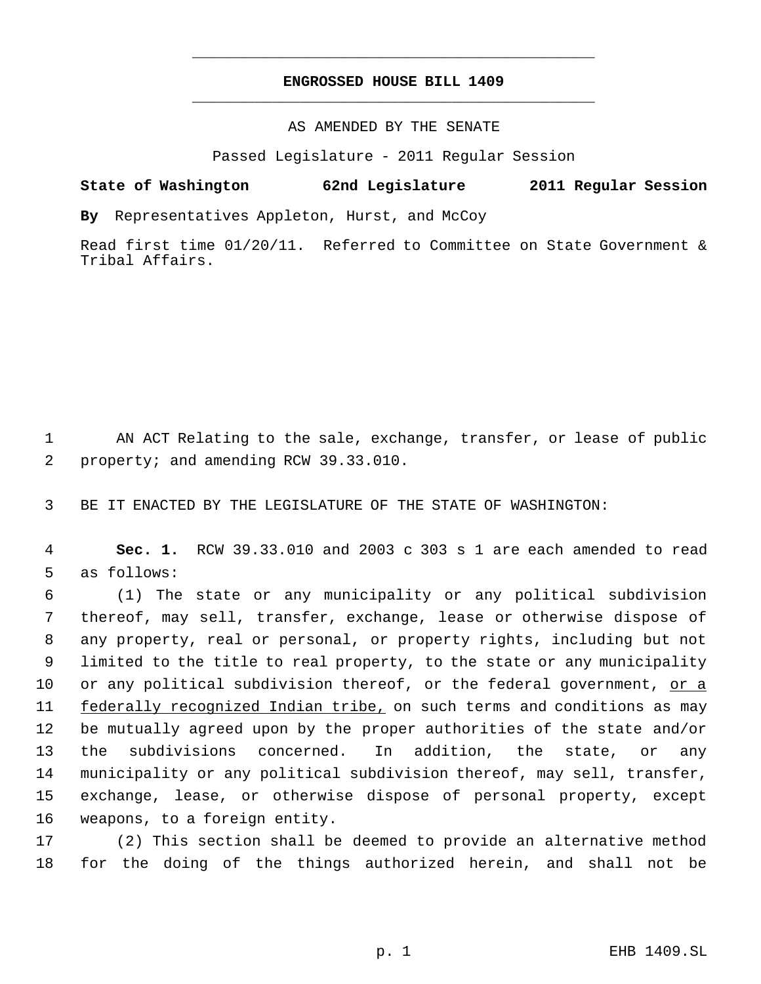# **ENGROSSED HOUSE BILL 1409** \_\_\_\_\_\_\_\_\_\_\_\_\_\_\_\_\_\_\_\_\_\_\_\_\_\_\_\_\_\_\_\_\_\_\_\_\_\_\_\_\_\_\_\_\_

\_\_\_\_\_\_\_\_\_\_\_\_\_\_\_\_\_\_\_\_\_\_\_\_\_\_\_\_\_\_\_\_\_\_\_\_\_\_\_\_\_\_\_\_\_

AS AMENDED BY THE SENATE

Passed Legislature - 2011 Regular Session

## **State of Washington 62nd Legislature 2011 Regular Session**

**By** Representatives Appleton, Hurst, and McCoy

Read first time 01/20/11. Referred to Committee on State Government & Tribal Affairs.

 AN ACT Relating to the sale, exchange, transfer, or lease of public property; and amending RCW 39.33.010.

BE IT ENACTED BY THE LEGISLATURE OF THE STATE OF WASHINGTON:

 **Sec. 1.** RCW 39.33.010 and 2003 c 303 s 1 are each amended to read as follows:

 (1) The state or any municipality or any political subdivision thereof, may sell, transfer, exchange, lease or otherwise dispose of any property, real or personal, or property rights, including but not limited to the title to real property, to the state or any municipality 10 or any political subdivision thereof, or the federal government, or a federally recognized Indian tribe, on such terms and conditions as may be mutually agreed upon by the proper authorities of the state and/or the subdivisions concerned. In addition, the state, or any municipality or any political subdivision thereof, may sell, transfer, exchange, lease, or otherwise dispose of personal property, except weapons, to a foreign entity.

 (2) This section shall be deemed to provide an alternative method for the doing of the things authorized herein, and shall not be